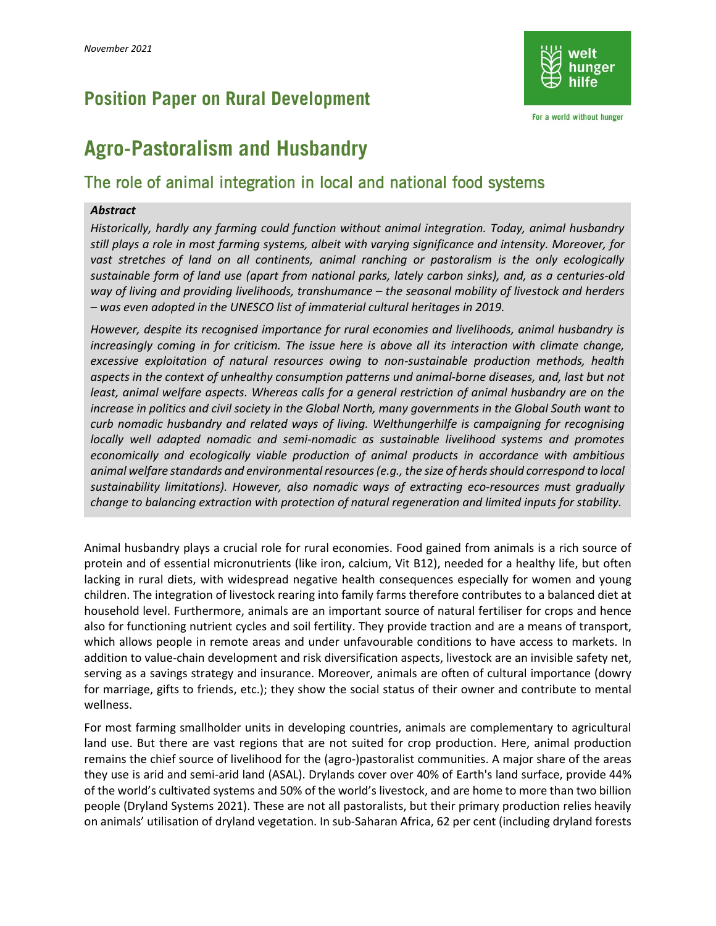## **Position Paper on Rural Development**



For a world without hunger

# **Agro-Pastoralism and Husbandry**

### The role of animal integration in local and national food systems

#### *Abstract*

*Historically, hardly any farming could function without animal integration. Today, animal husbandry still plays a role in most farming systems, albeit with varying significance and intensity. Moreover, for vast stretches of land on all continents, animal ranching or pastoralism is the only ecologically sustainable form of land use (apart from national parks, lately carbon sinks), and, as a centuries-old way of living and providing livelihoods, transhumance – the seasonal mobility of livestock and herders – was even adopted in the UNESCO list of immaterial cultural heritages in 2019.*

*However, despite its recognised importance for rural economies and livelihoods, animal husbandry is increasingly coming in for criticism. The issue here is above all its interaction with climate change, excessive exploitation of natural resources owing to non-sustainable production methods, health aspects in the context of unhealthy consumption patterns und animal-borne diseases, and, last but not least, animal welfare aspects. Whereas calls for a general restriction of animal husbandry are on the increase in politics and civil society in the Global North, many governments in the Global South want to curb nomadic husbandry and related ways of living. Welthungerhilfe is campaigning for recognising locally well adapted nomadic and semi-nomadic as sustainable livelihood systems and promotes economically and ecologically viable production of animal products in accordance with ambitious animal welfare standards and environmental resources (e.g., the size of herds should correspond to local sustainability limitations). However, also nomadic ways of extracting eco-resources must gradually change to balancing extraction with protection of natural regeneration and limited inputs for stability.*

Animal husbandry plays a crucial role for rural economies. Food gained from animals is a rich source of protein and of essential micronutrients (like iron, calcium, Vit B12), needed for a healthy life, but often lacking in rural diets, with widespread negative health consequences especially for women and young children. The integration of livestock rearing into family farms therefore contributes to a balanced diet at household level. Furthermore, animals are an important source of natural fertiliser for crops and hence also for functioning nutrient cycles and soil fertility. They provide traction and are a means of transport, which allows people in remote areas and under unfavourable conditions to have access to markets. In addition to value-chain development and risk diversification aspects, livestock are an invisible safety net, serving as a savings strategy and insurance. Moreover, animals are often of cultural importance (dowry for marriage, gifts to friends, etc.); they show the social status of their owner and contribute to mental wellness.

For most farming smallholder units in developing countries, animals are complementary to agricultural land use. But there are vast regions that are not suited for crop production. Here, animal production remains the chief source of livelihood for the (agro-)pastoralist communities. A major share of the areas they use is arid and semi-arid land (ASAL). Drylands cover over 40% of Earth's land surface, provide 44% of the world's cultivated systems and 50% of the world's livestock, and are home to more than two billion people (Dryland Systems 2021). These are not all pastoralists, but their primary production relies heavily on animals' utilisation of dryland vegetation. In sub-Saharan Africa, 62 per cent (including dryland forests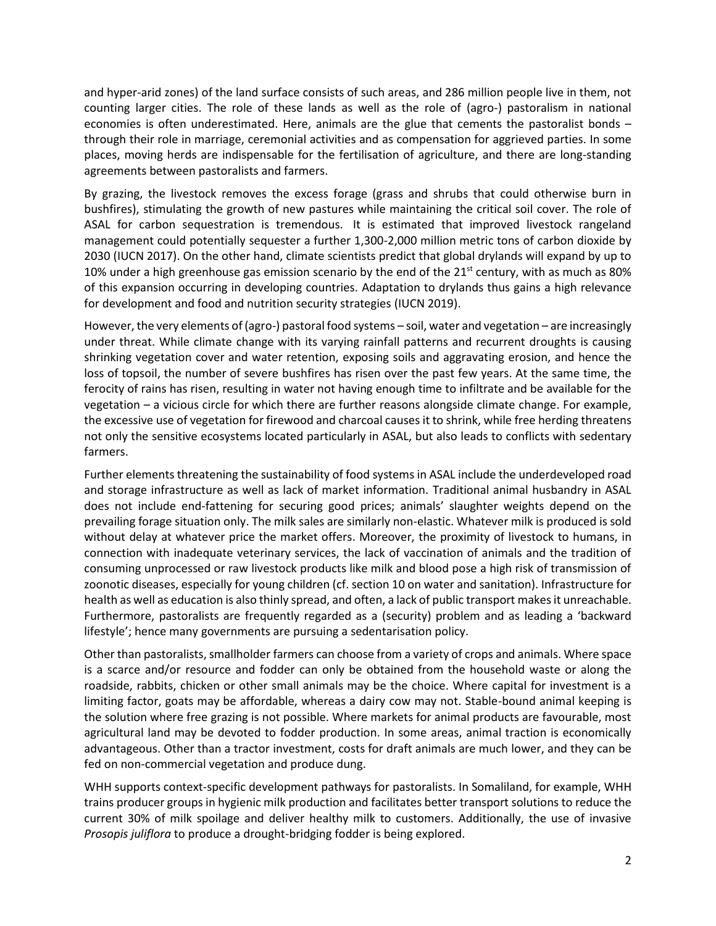and hyper-arid zones) of the land surface consists of such areas, and 286 million people live in them, not counting larger cities. The role of these lands as well as the role of (agro-) pastoralism in national economies is often underestimated. Here, animals are the glue that cements the pastoralist bonds – through their role in marriage, ceremonial activities and as compensation for aggrieved parties. In some places, moving herds are indispensable for the fertilisation of agriculture, and there are long-standing agreements between pastoralists and farmers.

By grazing, the livestock removes the excess forage (grass and shrubs that could otherwise burn in bushfires), stimulating the growth of new pastures while maintaining the critical soil cover. The role of ASAL for carbon sequestration is tremendous. It is estimated that improved livestock rangeland management could potentially sequester a further 1,300-2,000 million metric tons of carbon dioxide by 2030 (IUCN 2017). On the other hand, climate scientists predict that global drylands will expand by up to 10% under a high greenhouse gas emission scenario by the end of the  $21^{st}$  century, with as much as 80% of this expansion occurring in developing countries. Adaptation to drylands thus gains a high relevance for development and food and nutrition security strategies (IUCN 2019).

However, the very elements of (agro-) pastoral food systems – soil, water and vegetation – are increasingly under threat. While climate change with its varying rainfall patterns and recurrent droughts is causing shrinking vegetation cover and water retention, exposing soils and aggravating erosion, and hence the loss of topsoil, the number of severe bushfires has risen over the past few years. At the same time, the ferocity of rains has risen, resulting in water not having enough time to infiltrate and be available for the vegetation – a vicious circle for which there are further reasons alongside climate change. For example, the excessive use of vegetation for firewood and charcoal causes it to shrink, while free herding threatens not only the sensitive ecosystems located particularly in ASAL, but also leads to conflicts with sedentary farmers.

Further elements threatening the sustainability of food systems in ASAL include the underdeveloped road and storage infrastructure as well as lack of market information. Traditional animal husbandry in ASAL does not include end-fattening for securing good prices; animals' slaughter weights depend on the prevailing forage situation only. The milk sales are similarly non-elastic. Whatever milk is produced is sold without delay at whatever price the market offers. Moreover, the proximity of livestock to humans, in connection with inadequate veterinary services, the lack of vaccination of animals and the tradition of consuming unprocessed or raw livestock products like milk and blood pose a high risk of transmission of zoonotic diseases, especially for young children (cf. section 10 on water and sanitation). Infrastructure for health as well as education is also thinly spread, and often, a lack of public transport makes it unreachable. Furthermore, pastoralists are frequently regarded as a (security) problem and as leading a 'backward lifestyle'; hence many governments are pursuing a sedentarisation policy.

Other than pastoralists, smallholder farmers can choose from a variety of crops and animals. Where space is a scarce and/or resource and fodder can only be obtained from the household waste or along the roadside, rabbits, chicken or other small animals may be the choice. Where capital for investment is a limiting factor, goats may be affordable, whereas a dairy cow may not. Stable-bound animal keeping is the solution where free grazing is not possible. Where markets for animal products are favourable, most agricultural land may be devoted to fodder production. In some areas, animal traction is economically advantageous. Other than a tractor investment, costs for draft animals are much lower, and they can be fed on non-commercial vegetation and produce dung.

WHH supports context-specific development pathways for pastoralists. In Somaliland, for example, WHH trains producer groups in hygienic milk production and facilitates better transport solutions to reduce the current 30% of milk spoilage and deliver healthy milk to customers. Additionally, the use of invasive *Prosopis juliflora* to produce a drought-bridging fodder is being explored.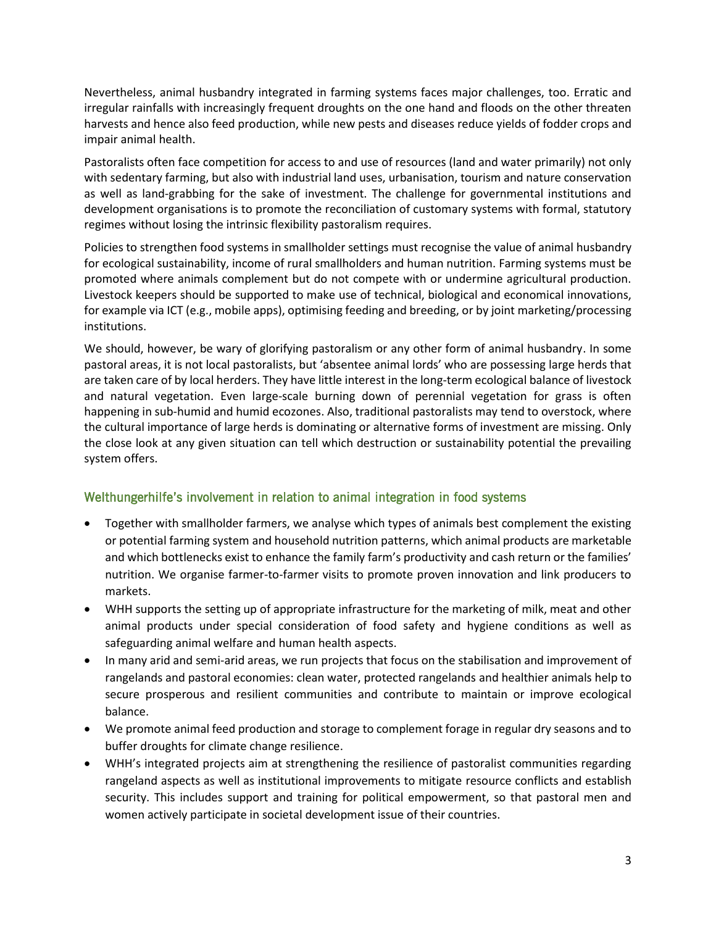Nevertheless, animal husbandry integrated in farming systems faces major challenges, too. Erratic and irregular rainfalls with increasingly frequent droughts on the one hand and floods on the other threaten harvests and hence also feed production, while new pests and diseases reduce yields of fodder crops and impair animal health.

Pastoralists often face competition for access to and use of resources (land and water primarily) not only with sedentary farming, but also with industrial land uses, urbanisation, tourism and nature conservation as well as land-grabbing for the sake of investment. The challenge for governmental institutions and development organisations is to promote the reconciliation of customary systems with formal, statutory regimes without losing the intrinsic flexibility pastoralism requires.

Policies to strengthen food systems in smallholder settings must recognise the value of animal husbandry for ecological sustainability, income of rural smallholders and human nutrition. Farming systems must be promoted where animals complement but do not compete with or undermine agricultural production. Livestock keepers should be supported to make use of technical, biological and economical innovations, for example via ICT (e.g., mobile apps), optimising feeding and breeding, or by joint marketing/processing institutions.

We should, however, be wary of glorifying pastoralism or any other form of animal husbandry. In some pastoral areas, it is not local pastoralists, but 'absentee animal lords' who are possessing large herds that are taken care of by local herders. They have little interest in the long-term ecological balance of livestock and natural vegetation. Even large-scale burning down of perennial vegetation for grass is often happening in sub-humid and humid ecozones. Also, traditional pastoralists may tend to overstock, where the cultural importance of large herds is dominating or alternative forms of investment are missing. Only the close look at any given situation can tell which destruction or sustainability potential the prevailing system offers.

#### Welthungerhilfe's involvement in relation to animal integration in food systems

- Together with smallholder farmers, we analyse which types of animals best complement the existing or potential farming system and household nutrition patterns, which animal products are marketable and which bottlenecks exist to enhance the family farm's productivity and cash return or the families' nutrition. We organise farmer-to-farmer visits to promote proven innovation and link producers to markets.
- WHH supports the setting up of appropriate infrastructure for the marketing of milk, meat and other animal products under special consideration of food safety and hygiene conditions as well as safeguarding animal welfare and human health aspects.
- In many arid and semi-arid areas, we run projects that focus on the stabilisation and improvement of rangelands and pastoral economies: clean water, protected rangelands and healthier animals help to secure prosperous and resilient communities and contribute to maintain or improve ecological balance.
- We promote animal feed production and storage to complement forage in regular dry seasons and to buffer droughts for climate change resilience.
- WHH's integrated projects aim at strengthening the resilience of pastoralist communities regarding rangeland aspects as well as institutional improvements to mitigate resource conflicts and establish security. This includes support and training for political empowerment, so that pastoral men and women actively participate in societal development issue of their countries.